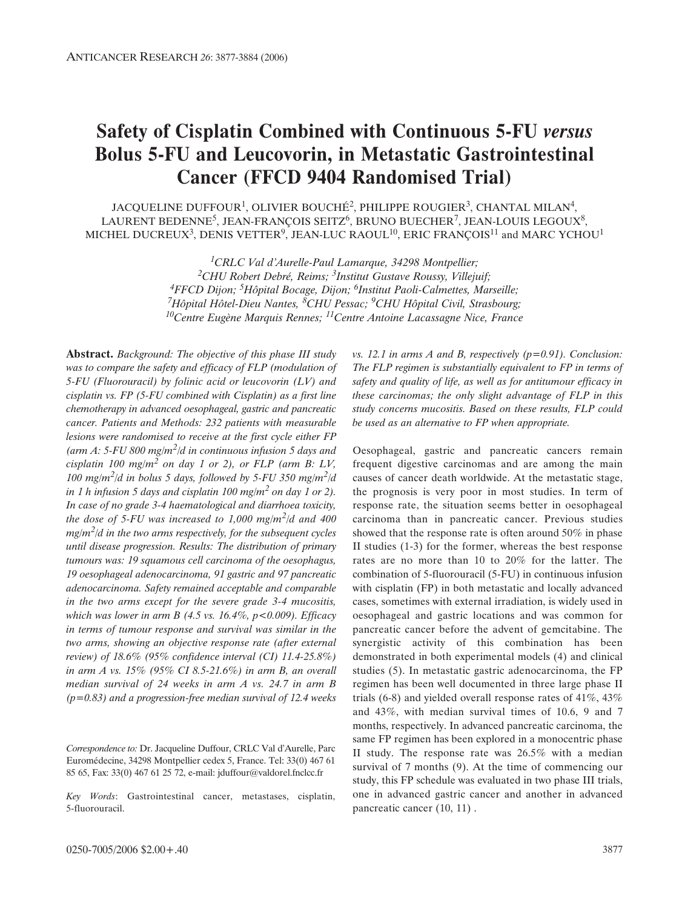# **Safety of Cisplatin Combined with Continuous 5-FU** *versus* **Bolus 5-FU and Leucovorin, in Metastatic Gastrointestinal Cancer (FFCD 9404 Randomised Trial)**

JACQUELINE DUFFOUR<sup>1</sup>, OLIVIER BOUCHÉ<sup>2</sup>, PHILIPPE ROUGIER<sup>3</sup>, CHANTAL MILAN<sup>4</sup>, LAURENT BEDENNE<sup>5</sup>, JEAN-FRANÇOIS SEITZ<sup>6</sup>, BRUNO BUECHER<sup>7</sup>, JEAN-LOUIS LEGOUX<sup>8</sup>, MICHEL DUCREUX<sup>3</sup>, DENIS VETTER<sup>9</sup>, JEAN-LUC RAOUL<sup>10</sup>, ERIC FRANÇOIS<sup>11</sup> and MARC YCHOU<sup>1</sup>

> *1CRLC Val d'Aurelle-Paul Lamarque, 34298 Montpellier; 2CHU Robert Debré, Reims; 3Institut Gustave Roussy, Villejuif; 4FFCD Dijon; 5Hôpital Bocage, Dijon; 6Institut Paoli-Calmettes, Marseille; 7Hôpital Hôtel-Dieu Nantes, 8CHU Pessac; 9CHU Hôpital Civil, Strasbourg; 10Centre Eugène Marquis Rennes; 11Centre Antoine Lacassagne Nice, France*

**Abstract.** *Background: The objective of this phase III study was to compare the safety and efficacy of FLP (modulation of 5-FU (Fluorouracil) by folinic acid or leucovorin (LV) and cisplatin vs. FP (5-FU combined with Cisplatin) as a first line chemotherapy in advanced oesophageal, gastric and pancreatic cancer. Patients and Methods: 232 patients with measurable lesions were randomised to receive at the first cycle either FP (arm A: 5-FU 800 mg/m2/d in continuous infusion 5 days and cisplatin 100 mg/m<sup>2</sup> on day 1 or 2), or FLP (arm B: LV, 100 mg/m2/d in bolus 5 days, followed by 5-FU 350 mg/m2/d in 1 h infusion 5 days and cisplatin 100 mg/m<sup>2</sup> on day 1 or 2). In case of no grade 3-4 haematological and diarrhoea toxicity, the dose of 5-FU was increased to 1,000 mg/m2/d and 400 mg/m2/d in the two arms respectively, for the subsequent cycles until disease progression. Results: The distribution of primary tumours was: 19 squamous cell carcinoma of the oesophagus, 19 oesophageal adenocarcinoma, 91 gastric and 97 pancreatic adenocarcinoma. Safety remained acceptable and comparable in the two arms except for the severe grade 3-4 mucositis, which was lower in arm B (4.5 vs. 16.4%, p<0.009). Efficacy in terms of tumour response and survival was similar in the two arms, showing an objective response rate (after external review) of 18.6% (95% confidence interval (CI) 11.4-25.8%) in arm A vs. 15% (95% CI 8.5-21.6%) in arm B, an overall median survival of 24 weeks in arm A vs. 24.7 in arm B (p=0.83) and a progression-free median survival of 12.4 weeks*

*Correspondence to:* Dr. Jacqueline Duffour, CRLC Val d'Aurelle, Parc Euromédecine, 34298 Montpellier cedex 5, France. Tel: 33(0) 467 61 85 65, Fax: 33(0) 467 61 25 72, e-mail: jduffour@valdorel.fnclcc.fr

*Key Words*: Gastrointestinal cancer, metastases, cisplatin, 5-fluorouracil.

*vs. 12.1 in arms A and B, respectively (p=0.91). Conclusion: The FLP regimen is substantially equivalent to FP in terms of safety and quality of life, as well as for antitumour efficacy in these carcinomas; the only slight advantage of FLP in this study concerns mucositis. Based on these results, FLP could be used as an alternative to FP when appropriate.*

Oesophageal, gastric and pancreatic cancers remain frequent digestive carcinomas and are among the main causes of cancer death worldwide. At the metastatic stage, the prognosis is very poor in most studies. In term of response rate, the situation seems better in oesophageal carcinoma than in pancreatic cancer. Previous studies showed that the response rate is often around 50% in phase II studies (1-3) for the former, whereas the best response rates are no more than 10 to 20% for the latter. The combination of 5-fluorouracil (5-FU) in continuous infusion with cisplatin (FP) in both metastatic and locally advanced cases, sometimes with external irradiation, is widely used in oesophageal and gastric locations and was common for pancreatic cancer before the advent of gemcitabine. The synergistic activity of this combination has been demonstrated in both experimental models (4) and clinical studies (5). In metastatic gastric adenocarcinoma, the FP regimen has been well documented in three large phase II trials (6-8) and yielded overall response rates of 41%, 43% and 43%, with median survival times of 10.6, 9 and 7 months, respectively. In advanced pancreatic carcinoma, the same FP regimen has been explored in a monocentric phase II study. The response rate was 26.5% with a median survival of 7 months (9). At the time of commencing our study, this FP schedule was evaluated in two phase III trials, one in advanced gastric cancer and another in advanced pancreatic cancer (10, 11) .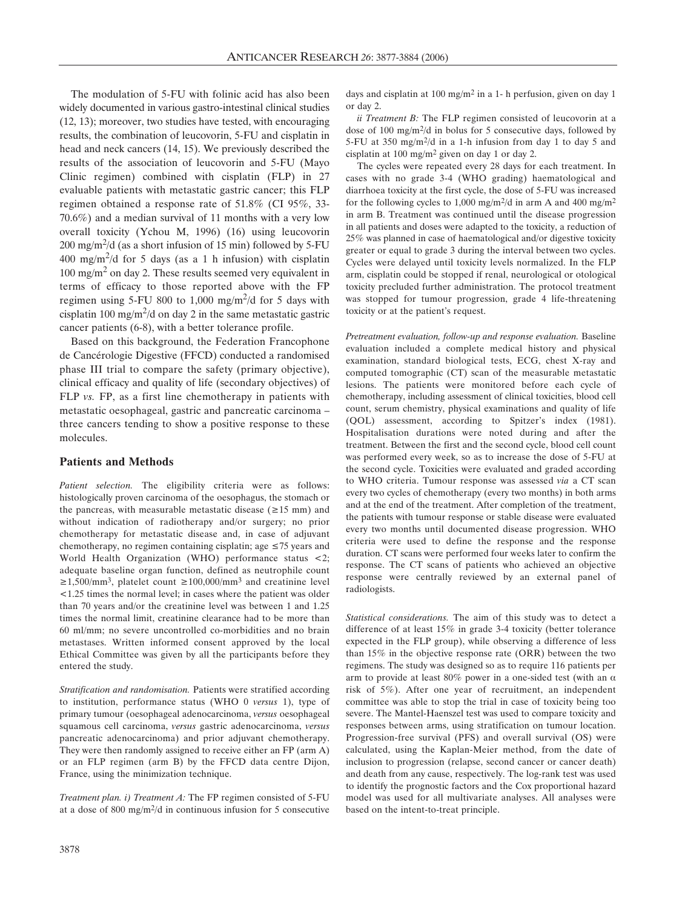The modulation of 5-FU with folinic acid has also been widely documented in various gastro-intestinal clinical studies (12, 13); moreover, two studies have tested, with encouraging results, the combination of leucovorin, 5-FU and cisplatin in head and neck cancers (14, 15). We previously described the results of the association of leucovorin and 5-FU (Mayo Clinic regimen) combined with cisplatin (FLP) in 27 evaluable patients with metastatic gastric cancer; this FLP regimen obtained a response rate of 51.8% (CI 95%, 33- 70.6%) and a median survival of 11 months with a very low overall toxicity (Ychou M, 1996) (16) using leucovorin  $200 \text{ mg/m}^2$ /d (as a short infusion of 15 min) followed by 5-FU 400 mg/m<sup>2</sup>/d for 5 days (as a 1 h infusion) with cisplatin  $100 \text{ mg/m}^2$  on day 2. These results seemed very equivalent in terms of efficacy to those reported above with the FP regimen using 5-FU 800 to 1,000 mg/m<sup>2</sup>/d for 5 days with cisplatin 100 mg/m<sup>2</sup>/d on day 2 in the same metastatic gastric cancer patients (6-8), with a better tolerance profile.

Based on this background, the Federation Francophone de Cancérologie Digestive (FFCD) conducted a randomised phase III trial to compare the safety (primary objective), clinical efficacy and quality of life (secondary objectives) of FLP *vs.* FP, as a first line chemotherapy in patients with metastatic oesophageal, gastric and pancreatic carcinoma – three cancers tending to show a positive response to these molecules.

### **Patients and Methods**

*Patient selection.* The eligibility criteria were as follows: histologically proven carcinoma of the oesophagus, the stomach or the pancreas, with measurable metastatic disease ( $\geq 15$  mm) and without indication of radiotherapy and/or surgery; no prior chemotherapy for metastatic disease and, in case of adjuvant chemotherapy, no regimen containing cisplatin; age  $\leq 75$  years and World Health Organization (WHO) performance status <2; adequate baseline organ function, defined as neutrophile count  $≥1,500/mm^3$ , platelet count  $≥100,000/mm^3$  and creatinine level <1.25 times the normal level; in cases where the patient was older than 70 years and/or the creatinine level was between 1 and 1.25 times the normal limit, creatinine clearance had to be more than 60 ml/mm; no severe uncontrolled co-morbidities and no brain metastases. Written informed consent approved by the local Ethical Committee was given by all the participants before they entered the study.

*Stratification and randomisation.* Patients were stratified according to institution, performance status (WHO 0 *versus* 1), type of primary tumour (oesophageal adenocarcinoma, *versus* oesophageal squamous cell carcinoma, *versus* gastric adenocarcinoma, *versus* pancreatic adenocarcinoma) and prior adjuvant chemotherapy. They were then randomly assigned to receive either an FP (arm A) or an FLP regimen (arm B) by the FFCD data centre Dijon, France, using the minimization technique.

*Treatment plan. i) Treatment A:* The FP regimen consisted of 5-FU at a dose of 800 mg/m2/d in continuous infusion for 5 consecutive days and cisplatin at 100 mg/m2 in a 1- h perfusion, given on day 1 or day 2.

*ii Treatment B:* The FLP regimen consisted of leucovorin at a dose of 100 mg/m2/d in bolus for 5 consecutive days, followed by 5-FU at 350 mg/m2/d in a 1-h infusion from day 1 to day 5 and cisplatin at 100 mg/m2 given on day 1 or day 2.

The cycles were repeated every 28 days for each treatment. In cases with no grade 3-4 (WHO grading) haematological and diarrhoea toxicity at the first cycle, the dose of 5-FU was increased for the following cycles to 1,000 mg/m2/d in arm A and 400 mg/m2 in arm B. Treatment was continued until the disease progression in all patients and doses were adapted to the toxicity, a reduction of 25% was planned in case of haematological and/or digestive toxicity greater or equal to grade 3 during the interval between two cycles. Cycles were delayed until toxicity levels normalized. In the FLP arm, cisplatin could be stopped if renal, neurological or otological toxicity precluded further administration. The protocol treatment was stopped for tumour progression, grade 4 life-threatening toxicity or at the patient's request.

*Pretreatment evaluation, follow-up and response evaluation.* Baseline evaluation included a complete medical history and physical examination, standard biological tests, ECG, chest X-ray and computed tomographic (CT) scan of the measurable metastatic lesions. The patients were monitored before each cycle of chemotherapy, including assessment of clinical toxicities, blood cell count, serum chemistry, physical examinations and quality of life (QOL) assessment, according to Spitzer's index (1981). Hospitalisation durations were noted during and after the treatment. Between the first and the second cycle, blood cell count was performed every week, so as to increase the dose of 5-FU at the second cycle. Toxicities were evaluated and graded according to WHO criteria. Tumour response was assessed *via* a CT scan every two cycles of chemotherapy (every two months) in both arms and at the end of the treatment. After completion of the treatment, the patients with tumour response or stable disease were evaluated every two months until documented disease progression. WHO criteria were used to define the response and the response duration. CT scans were performed four weeks later to confirm the response. The CT scans of patients who achieved an objective response were centrally reviewed by an external panel of radiologists.

*Statistical considerations.* The aim of this study was to detect a difference of at least 15% in grade 3-4 toxicity (better tolerance expected in the FLP group), while observing a difference of less than 15% in the objective response rate (ORR) between the two regimens. The study was designed so as to require 116 patients per arm to provide at least 80% power in a one-sided test (with an  $\alpha$ ) risk of 5%). After one year of recruitment, an independent committee was able to stop the trial in case of toxicity being too severe. The Mantel-Haenszel test was used to compare toxicity and responses between arms, using stratification on tumour location. Progression-free survival (PFS) and overall survival (OS) were calculated, using the Kaplan-Meier method, from the date of inclusion to progression (relapse, second cancer or cancer death) and death from any cause, respectively. The log-rank test was used to identify the prognostic factors and the Cox proportional hazard model was used for all multivariate analyses. All analyses were based on the intent-to-treat principle.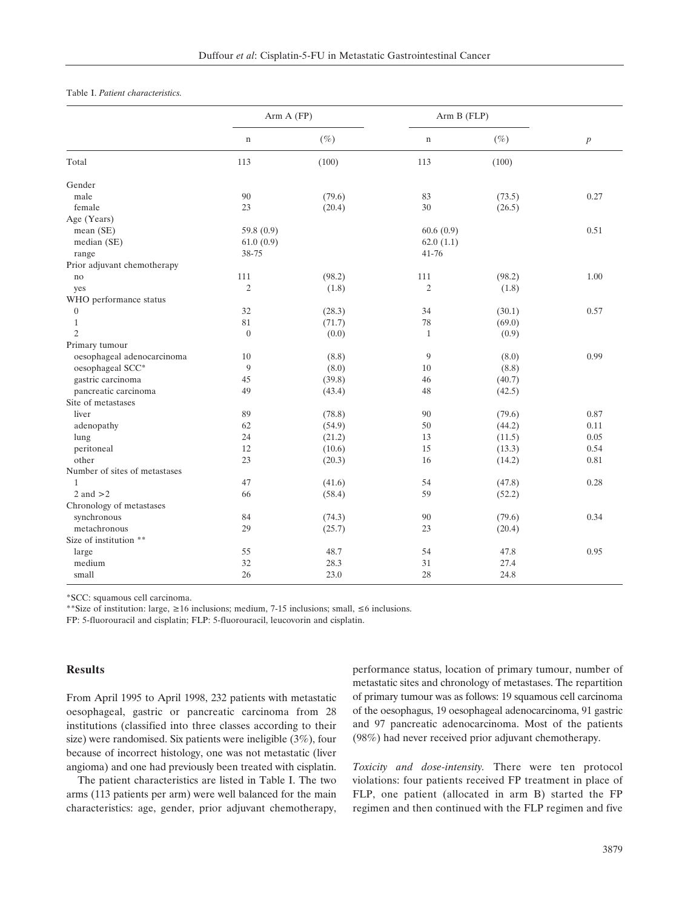#### Table I. *Patient characteristics.*

|                               | Arm A (FP)       |        | Arm B (FLP)    |        |                  |
|-------------------------------|------------------|--------|----------------|--------|------------------|
|                               | $\mathbf n$      | $(\%)$ | $\mathbf n$    | $(\%)$ | $\boldsymbol{p}$ |
| Total                         | 113              | (100)  | 113            | (100)  |                  |
| Gender                        |                  |        |                |        |                  |
| male                          | 90               | (79.6) | 83             | (73.5) | 0.27             |
| female                        | 23               | (20.4) | $30\,$         | (26.5) |                  |
| Age (Years)                   |                  |        |                |        |                  |
| mean (SE)                     | 59.8 $(0.9)$     |        | 60.6(0.9)      |        | 0.51             |
| median (SE)                   | 61.0(0.9)        |        | 62.0(1.1)      |        |                  |
| range                         | 38-75            |        | $41 - 76$      |        |                  |
| Prior adjuvant chemotherapy   |                  |        |                |        |                  |
| no                            | 111              | (98.2) | 111            | (98.2) | 1.00             |
| yes                           | $\mathfrak{2}$   | (1.8)  | $\mathfrak{2}$ | (1.8)  |                  |
| WHO performance status        |                  |        |                |        |                  |
| $\theta$                      | 32               | (28.3) | 34             | (30.1) | 0.57             |
| $\mathbf{1}$                  | 81               | (71.7) | $78\,$         | (69.0) |                  |
| $\overline{2}$                | $\boldsymbol{0}$ | (0.0)  | $\mathbf{1}$   | (0.9)  |                  |
| Primary tumour                |                  |        |                |        |                  |
| oesophageal adenocarcinoma    | 10               | (8.8)  | 9              | (8.0)  | 0.99             |
| oesophageal SCC*              | $\mathbf{Q}$     | (8.0)  | 10             | (8.8)  |                  |
| gastric carcinoma             | 45               | (39.8) | 46             | (40.7) |                  |
| pancreatic carcinoma          | 49               | (43.4) | 48             | (42.5) |                  |
| Site of metastases            |                  |        |                |        |                  |
| liver                         | 89               | (78.8) | 90             | (79.6) | 0.87             |
| adenopathy                    | 62               | (54.9) | 50             | (44.2) | 0.11             |
| lung                          | 24               | (21.2) | 13             | (11.5) | 0.05             |
| peritoneal                    | 12               | (10.6) | 15             | (13.3) | 0.54             |
| other                         | 23               | (20.3) | 16             | (14.2) | 0.81             |
| Number of sites of metastases |                  |        |                |        |                  |
| 1                             | 47               | (41.6) | 54             | (47.8) | 0.28             |
| 2 and $>2$                    | 66               | (58.4) | 59             | (52.2) |                  |
| Chronology of metastases      |                  |        |                |        |                  |
| synchronous                   | 84               | (74.3) | 90             | (79.6) | 0.34             |
| metachronous                  | 29               | (25.7) | 23             | (20.4) |                  |
| Size of institution **        |                  |        |                |        |                  |
| large                         | 55               | 48.7   | 54             | 47.8   | 0.95             |
| medium                        | 32               | 28.3   | 31             | 27.4   |                  |
| small                         | 26               | 23.0   | 28             | 24.8   |                  |

\*SCC: squamous cell carcinoma.

\*\*Size of institution: large,  $\geq 16$  inclusions; medium, 7-15 inclusions; small,  $\leq 6$  inclusions.

FP: 5-fluorouracil and cisplatin; FLP: 5-fluorouracil, leucovorin and cisplatin.

#### **Results**

From April 1995 to April 1998, 232 patients with metastatic oesophageal, gastric or pancreatic carcinoma from 28 institutions (classified into three classes according to their size) were randomised. Six patients were ineligible (3%), four because of incorrect histology, one was not metastatic (liver angioma) and one had previously been treated with cisplatin.

The patient characteristics are listed in Table I. The two arms (113 patients per arm) were well balanced for the main characteristics: age, gender, prior adjuvant chemotherapy, performance status, location of primary tumour, number of metastatic sites and chronology of metastases. The repartition of primary tumour was as follows: 19 squamous cell carcinoma of the oesophagus, 19 oesophageal adenocarcinoma, 91 gastric and 97 pancreatic adenocarcinoma. Most of the patients (98%) had never received prior adjuvant chemotherapy.

*Toxicity and dose-intensity.* There were ten protocol violations: four patients received FP treatment in place of FLP, one patient (allocated in arm B) started the FP regimen and then continued with the FLP regimen and five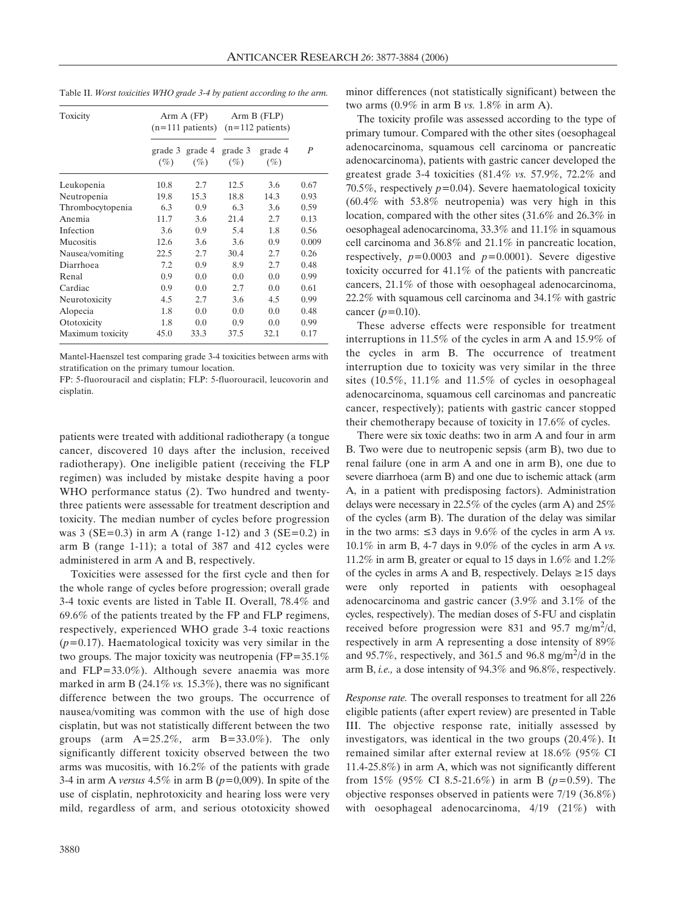| Toxicity         | Arm A (FP)        |                   | Arm B (FLP)<br>$(n=111 \text{ patients})$ $(n=112 \text{ patients})$ |                   |                  |
|------------------|-------------------|-------------------|----------------------------------------------------------------------|-------------------|------------------|
|                  | grade 3<br>$(\%)$ | grade 4<br>$(\%)$ | grade 3<br>$(\%)$                                                    | grade 4<br>$(\%)$ | $\boldsymbol{P}$ |
| Leukopenia       | 10.8              | 2.7               | 12.5                                                                 | 3.6               | 0.67             |
| Neutropenia      | 19.8              | 15.3              | 18.8                                                                 | 14.3              | 0.93             |
| Thrombocytopenia | 6.3               | 0.9               | 6.3                                                                  | 3.6               | 0.59             |
| Anemia           | 11.7              | 3.6               | 21.4                                                                 | 2.7               | 0.13             |
| Infection        | 3.6               | 0.9               | 5.4                                                                  | 1.8               | 0.56             |
| Mucositis        | 12.6              | 3.6               | 3.6                                                                  | 0.9               | 0.009            |
| Nausea/vomiting  | 22.5              | 2.7               | 30.4                                                                 | 2.7               | 0.26             |
| Diarrhoea        | 7.2               | 0.9               | 8.9                                                                  | 2.7               | 0.48             |
| Renal            | 0.9               | 0.0               | 0.0                                                                  | 0.0               | 0.99             |
| Cardiac          | 0.9               | 0.0               | 2.7                                                                  | 0.0               | 0.61             |
| Neurotoxicity    | 4.5               | 2.7               | 3.6                                                                  | 4.5               | 0.99             |
| Alopecia         | 1.8               | 0.0               | 0.0                                                                  | 0.0               | 0.48             |
| Ototoxicity      | 1.8               | 0.0               | 0.9                                                                  | 0.0               | 0.99             |
| Maximum toxicity | 45.0              | 33.3              | 37.5                                                                 | 32.1              | 0.17             |

Table II. *Worst toxicities WHO grade 3-4 by patient according to the arm.*

Mantel-Haenszel test comparing grade 3-4 toxicities between arms with stratification on the primary tumour location.

FP: 5-fluorouracil and cisplatin; FLP: 5-fluorouracil, leucovorin and cisplatin.

patients were treated with additional radiotherapy (a tongue cancer, discovered 10 days after the inclusion, received radiotherapy). One ineligible patient (receiving the FLP regimen) was included by mistake despite having a poor WHO performance status (2). Two hundred and twentythree patients were assessable for treatment description and toxicity. The median number of cycles before progression was 3 ( $SE = 0.3$ ) in arm A (range 1-12) and 3 ( $SE = 0.2$ ) in arm B (range 1-11); a total of 387 and 412 cycles were administered in arm A and B, respectively.

Toxicities were assessed for the first cycle and then for the whole range of cycles before progression; overall grade 3-4 toxic events are listed in Table II. Overall, 78.4% and 69.6% of the patients treated by the FP and FLP regimens, respectively, experienced WHO grade 3-4 toxic reactions (*p=*0.17). Haematological toxicity was very similar in the two groups. The major toxicity was neutropenia (FP=35.1% and FLP=33.0%). Although severe anaemia was more marked in arm B (24.1% *vs.* 15.3%), there was no significant difference between the two groups. The occurrence of nausea/vomiting was common with the use of high dose cisplatin, but was not statistically different between the two groups (arm  $A=25.2\%$ , arm  $B=33.0\%$ ). The only significantly different toxicity observed between the two arms was mucositis, with 16.2% of the patients with grade 3-4 in arm A *versus* 4.5% in arm B (*p=*0,009). In spite of the use of cisplatin, nephrotoxicity and hearing loss were very mild, regardless of arm, and serious ototoxicity showed

minor differences (not statistically significant) between the two arms (0.9% in arm B *vs.* 1.8% in arm A).

The toxicity profile was assessed according to the type of primary tumour. Compared with the other sites (oesophageal adenocarcinoma, squamous cell carcinoma or pancreatic adenocarcinoma), patients with gastric cancer developed the greatest grade 3-4 toxicities (81.4% *vs.* 57.9%, 72.2% and 70.5%, respectively *p=*0.04). Severe haematological toxicity (60.4% with 53.8% neutropenia) was very high in this location, compared with the other sites (31.6% and 26.3% in oesophageal adenocarcinoma, 33.3% and 11.1% in squamous cell carcinoma and 36.8% and 21.1% in pancreatic location, respectively, *p=*0.0003 and *p=*0.0001). Severe digestive toxicity occurred for 41.1% of the patients with pancreatic cancers, 21.1% of those with oesophageal adenocarcinoma, 22.2% with squamous cell carcinoma and 34.1% with gastric cancer (*p=*0.10).

These adverse effects were responsible for treatment interruptions in 11.5% of the cycles in arm A and 15.9% of the cycles in arm B. The occurrence of treatment interruption due to toxicity was very similar in the three sites (10.5%, 11.1% and 11.5% of cycles in oesophageal adenocarcinoma, squamous cell carcinomas and pancreatic cancer, respectively); patients with gastric cancer stopped their chemotherapy because of toxicity in 17.6% of cycles.

There were six toxic deaths: two in arm A and four in arm B. Two were due to neutropenic sepsis (arm B), two due to renal failure (one in arm A and one in arm B), one due to severe diarrhoea (arm B) and one due to ischemic attack (arm A, in a patient with predisposing factors). Administration delays were necessary in 22.5% of the cycles (arm A) and 25% of the cycles (arm B). The duration of the delay was similar in the two arms:  $\leq 3$  days in 9.6% of the cycles in arm A *vs*. 10.1% in arm B, 4-7 days in 9.0% of the cycles in arm A *vs.* 11.2% in arm B, greater or equal to 15 days in 1.6% and 1.2% of the cycles in arms A and B, respectively. Delays  $\geq 15$  days were only reported in patients with oesophageal adenocarcinoma and gastric cancer (3.9% and 3.1% of the cycles, respectively). The median doses of 5-FU and cisplatin received before progression were 831 and 95.7 mg/m<sup>2</sup>/d, respectively in arm A representing a dose intensity of 89% and 95.7%, respectively, and 361.5 and 96.8 mg/m<sup>2</sup>/d in the arm B, *i.e.,* a dose intensity of 94.3% and 96.8%, respectively.

*Response rate.* The overall responses to treatment for all 226 eligible patients (after expert review) are presented in Table III. The objective response rate, initially assessed by investigators, was identical in the two groups (20.4%). It remained similar after external review at 18.6% (95% CI 11.4-25.8%) in arm A, which was not significantly different from 15% (95% CI 8.5-21.6%) in arm B (*p*=0.59). The objective responses observed in patients were 7/19 (36.8%) with oesophageal adenocarcinoma, 4/19 (21%) with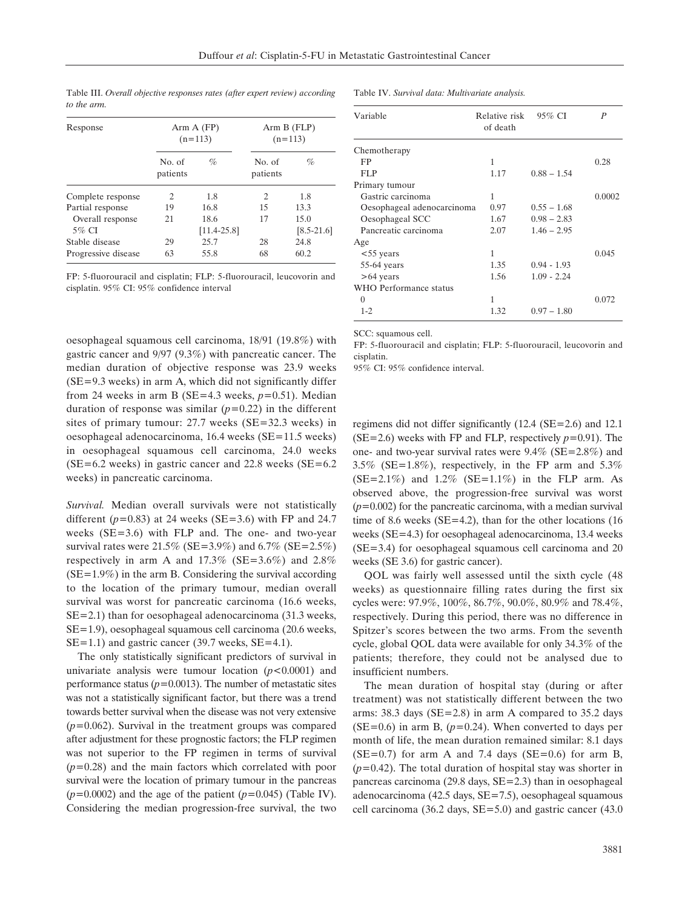| Response            | Arm A (FP)<br>$(n=113)$ |                 | Arm B (FLP)<br>$(n=113)$ |                |  |
|---------------------|-------------------------|-----------------|--------------------------|----------------|--|
|                     | No. of<br>patients      | $\%$            | No. of<br>patients       | $\%$           |  |
| Complete response   | $\mathfrak{D}$          | 1.8             | 2                        | 1.8            |  |
| Partial response    | 19                      | 16.8            | 15                       | 13.3           |  |
| Overall response    | 21                      | 18.6            | 17                       | 15.0           |  |
| 5% CI               |                         | $[11.4 - 25.8]$ |                          | $[8.5 - 21.6]$ |  |
| Stable disease      | 29                      | 25.7            | 28                       | 24.8           |  |
| Progressive disease | 63                      | 55.8            | 68                       | 60.2           |  |

Table III. *Overall objective responses rates (after expert review) according to the arm.*

FP: 5-fluorouracil and cisplatin; FLP: 5-fluorouracil, leucovorin and cisplatin. 95% CI: 95% confidence interval

oesophageal squamous cell carcinoma, 18/91 (19.8%) with gastric cancer and 9/97 (9.3%) with pancreatic cancer. The median duration of objective response was 23.9 weeks  $(SE=9.3$  weeks) in arm A, which did not significantly differ from 24 weeks in arm B (SE=4.3 weeks, *p=*0.51). Median duration of response was similar (*p=*0.22) in the different sites of primary tumour: 27.7 weeks (SE=32.3 weeks) in oesophageal adenocarcinoma, 16.4 weeks (SE=11.5 weeks) in oesophageal squamous cell carcinoma, 24.0 weeks  $(SE=6.2$  weeks) in gastric cancer and 22.8 weeks  $(SE=6.2)$ weeks) in pancreatic carcinoma.

*Survival.* Median overall survivals were not statistically different  $(p=0.83)$  at 24 weeks (SE=3.6) with FP and 24.7 weeks (SE=3.6) with FLP and. The one- and two-year survival rates were  $21.5\%$  (SE=3.9%) and  $6.7\%$  (SE=2.5%) respectively in arm A and  $17.3\%$  (SE=3.6%) and 2.8%  $(SE=1.9\%)$  in the arm B. Considering the survival according to the location of the primary tumour, median overall survival was worst for pancreatic carcinoma (16.6 weeks, SE=2.1) than for oesophageal adenocarcinoma (31.3 weeks, SE=1.9), oesophageal squamous cell carcinoma (20.6 weeks,  $SE=1.1$ ) and gastric cancer (39.7 weeks,  $SE=4.1$ ).

The only statistically significant predictors of survival in univariate analysis were tumour location (*p<*0.0001) and performance status (*p=*0.0013). The number of metastatic sites was not a statistically significant factor, but there was a trend towards better survival when the disease was not very extensive (*p=*0.062). Survival in the treatment groups was compared after adjustment for these prognostic factors; the FLP regimen was not superior to the FP regimen in terms of survival (*p=*0.28) and the main factors which correlated with poor survival were the location of primary tumour in the pancreas (*p=*0.0002) and the age of the patient (*p=*0.045) (Table IV). Considering the median progression-free survival, the two Table IV. *Survival data: Multivariate analysis.*

| Variable                   | Relative risk<br>of death | $95\%$ CI     | P      |
|----------------------------|---------------------------|---------------|--------|
| Chemotherapy               |                           |               |        |
| FP                         | 1                         |               | 0.28   |
| FLP                        | 1.17                      | $0.88 - 1.54$ |        |
| Primary tumour             |                           |               |        |
| Gastric carcinoma          | 1                         |               | 0.0002 |
| Oesophageal adenocarcinoma | 0.97                      | $0.55 - 1.68$ |        |
| Oesophageal SCC            | 1.67                      | $0.98 - 2.83$ |        |
| Pancreatic carcinoma       | 2.07                      | $1.46 - 2.95$ |        |
| Age                        |                           |               |        |
| $<$ 55 years               | 1                         |               | 0.045  |
| $55-64$ years              | 1.35                      | $0.94 - 1.93$ |        |
| $>64$ years                | 1.56                      | $1.09 - 2.24$ |        |
| WHO Performance status     |                           |               |        |
| $\Omega$                   | 1                         |               | 0.072  |
| $1 - 2$                    | 1.32                      | $0.97 - 1.80$ |        |

SCC: squamous cell.

FP: 5-fluorouracil and cisplatin; FLP: 5-fluorouracil, leucovorin and cisplatin.

95% CI: 95% confidence interval.

regimens did not differ significantly (12.4 (SE=2.6) and 12.1 (SE=2.6) weeks with FP and FLP, respectively *p=*0.91). The one- and two-year survival rates were  $9.4\%$  (SE=2.8%) and 3.5% (SE=1.8%), respectively, in the FP arm and 5.3%  $(SE=2.1\%)$  and  $1.2\%$   $(SE=1.1\%)$  in the FLP arm. As observed above, the progression-free survival was worst (*p=*0.002) for the pancreatic carcinoma, with a median survival time of 8.6 weeks (SE=4.2), than for the other locations (16 weeks (SE=4.3) for oesophageal adenocarcinoma, 13.4 weeks (SE=3.4) for oesophageal squamous cell carcinoma and 20 weeks (SE 3.6) for gastric cancer).

QOL was fairly well assessed until the sixth cycle (48 weeks) as questionnaire filling rates during the first six cycles were: 97.9%, 100%, 86.7%, 90.0%, 80.9% and 78.4%, respectively. During this period, there was no difference in Spitzer's scores between the two arms. From the seventh cycle, global QOL data were available for only 34.3% of the patients; therefore, they could not be analysed due to insufficient numbers.

The mean duration of hospital stay (during or after treatment) was not statistically different between the two arms: 38.3 days (SE=2.8) in arm A compared to 35.2 days  $(SE=0.6)$  in arm B,  $(p=0.24)$ . When converted to days per month of life, the mean duration remained similar: 8.1 days  $(SE=0.7)$  for arm A and 7.4 days  $(SE=0.6)$  for arm B, (*p*=0.42). The total duration of hospital stay was shorter in pancreas carcinoma (29.8 days, SE=2.3) than in oesophageal adenocarcinoma (42.5 days, SE=7.5), oesophageal squamous cell carcinoma (36.2 days, SE=5.0) and gastric cancer (43.0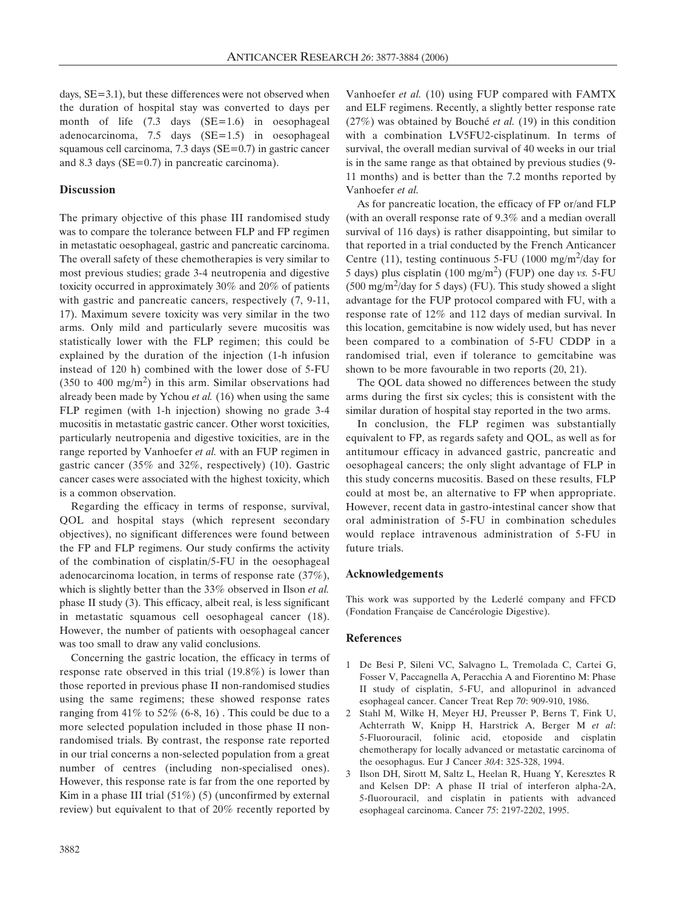days, SE=3.1), but these differences were not observed when the duration of hospital stay was converted to days per month of life (7.3 days (SE=1.6) in oesophageal adenocarcinoma, 7.5 days (SE=1.5) in oesophageal squamous cell carcinoma, 7.3 days (SE=0.7) in gastric cancer and 8.3 days (SE=0.7) in pancreatic carcinoma).

## **Discussion**

The primary objective of this phase III randomised study was to compare the tolerance between FLP and FP regimen in metastatic oesophageal, gastric and pancreatic carcinoma. The overall safety of these chemotherapies is very similar to most previous studies; grade 3-4 neutropenia and digestive toxicity occurred in approximately 30% and 20% of patients with gastric and pancreatic cancers, respectively (7, 9-11, 17). Maximum severe toxicity was very similar in the two arms. Only mild and particularly severe mucositis was statistically lower with the FLP regimen; this could be explained by the duration of the injection (1-h infusion instead of 120 h) combined with the lower dose of 5-FU (350 to 400 mg/m<sup>2</sup>) in this arm. Similar observations had already been made by Ychou *et al.* (16) when using the same FLP regimen (with 1-h injection) showing no grade 3-4 mucositis in metastatic gastric cancer. Other worst toxicities, particularly neutropenia and digestive toxicities, are in the range reported by Vanhoefer *et al.* with an FUP regimen in gastric cancer (35% and 32%, respectively) (10). Gastric cancer cases were associated with the highest toxicity, which is a common observation.

Regarding the efficacy in terms of response, survival, QOL and hospital stays (which represent secondary objectives), no significant differences were found between the FP and FLP regimens. Our study confirms the activity of the combination of cisplatin/5-FU in the oesophageal adenocarcinoma location, in terms of response rate (37%), which is slightly better than the 33% observed in Ilson *et al.* phase II study (3). This efficacy, albeit real, is less significant in metastatic squamous cell oesophageal cancer (18). However, the number of patients with oesophageal cancer was too small to draw any valid conclusions.

Concerning the gastric location, the efficacy in terms of response rate observed in this trial (19.8%) is lower than those reported in previous phase II non-randomised studies using the same regimens; these showed response rates ranging from  $41\%$  to  $52\%$  (6-8, 16). This could be due to a more selected population included in those phase II nonrandomised trials. By contrast, the response rate reported in our trial concerns a non-selected population from a great number of centres (including non-specialised ones). However, this response rate is far from the one reported by Kim in a phase III trial  $(51\%)$  (5) (unconfirmed by external review) but equivalent to that of 20% recently reported by Vanhoefer *et al.* (10) using FUP compared with FAMTX and ELF regimens. Recently, a slightly better response rate (27%) was obtained by Bouché *et al.* (19) in this condition with a combination LV5FU2-cisplatinum. In terms of survival, the overall median survival of 40 weeks in our trial is in the same range as that obtained by previous studies (9- 11 months) and is better than the 7.2 months reported by Vanhoefer *et al.*

As for pancreatic location, the efficacy of FP or/and FLP (with an overall response rate of 9.3% and a median overall survival of 116 days) is rather disappointing, but similar to that reported in a trial conducted by the French Anticancer Centre (11), testing continuous 5-FU (1000 mg/m<sup>2</sup>/day for 5 days) plus cisplatin (100 mg/m2) (FUP) one day *vs.* 5-FU  $(500 \text{ mg/m}^2/\text{day}$  for 5 days) (FU). This study showed a slight advantage for the FUP protocol compared with FU, with a response rate of 12% and 112 days of median survival. In this location, gemcitabine is now widely used, but has never been compared to a combination of 5-FU CDDP in a randomised trial, even if tolerance to gemcitabine was shown to be more favourable in two reports (20, 21).

The QOL data showed no differences between the study arms during the first six cycles; this is consistent with the similar duration of hospital stay reported in the two arms.

In conclusion, the FLP regimen was substantially equivalent to FP, as regards safety and QOL, as well as for antitumour efficacy in advanced gastric, pancreatic and oesophageal cancers; the only slight advantage of FLP in this study concerns mucositis. Based on these results, FLP could at most be, an alternative to FP when appropriate. However, recent data in gastro-intestinal cancer show that oral administration of 5-FU in combination schedules would replace intravenous administration of 5-FU in future trials.

#### **Acknowledgements**

This work was supported by the Lederlé company and FFCD (Fondation Française de Cancérologie Digestive).

### **References**

- 1 De Besi P, Sileni VC, Salvagno L, Tremolada C, Cartei G, Fosser V, Paccagnella A, Peracchia A and Fiorentino M: Phase II study of cisplatin, 5-FU, and allopurinol in advanced esophageal cancer. Cancer Treat Rep *70*: 909-910, 1986.
- 2 Stahl M, Wilke H, Meyer HJ, Preusser P, Berns T, Fink U, Achterrath W, Knipp H, Harstrick A, Berger M *et al*: 5-Fluorouracil, folinic acid, etoposide and cisplatin chemotherapy for locally advanced or metastatic carcinoma of the oesophagus. Eur J Cancer *30A*: 325-328, 1994.
- 3 Ilson DH, Sirott M, Saltz L, Heelan R, Huang Y, Keresztes R and Kelsen DP: A phase II trial of interferon alpha-2A, 5-fluorouracil, and cisplatin in patients with advanced esophageal carcinoma. Cancer *75*: 2197-2202, 1995.